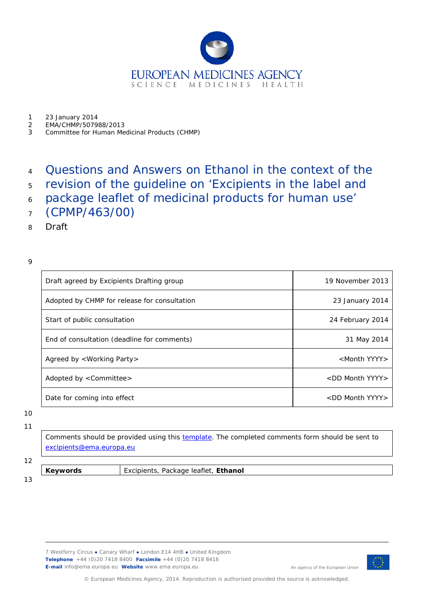

1 23 January 2014<br>2 EMA/CHMP/5079

- 2 EMA/CHMP/507988/2013
- 3 Committee for Human Medicinal Products (CHMP)

### <sup>4</sup> Questions and Answers on Ethanol in the context of the

- <sup>5</sup> revision of the guideline on 'Excipients in the label and
- <sup>6</sup> package leaflet of medicinal products for human use'
- <sup>7</sup> (CPMP/463/00)
- 8 Draft

#### 9

| Draft agreed by Excipients Drafting group    | 19 November 2013           |
|----------------------------------------------|----------------------------|
| Adopted by CHMP for release for consultation | 23 January 2014            |
| Start of public consultation                 | 24 February 2014           |
| End of consultation (deadline for comments)  | 31 May 2014                |
| Agreed by <working party=""></working>       | <month yyyy=""></month>    |
| Adopted by <committee></committee>           | <dd month="" yyyy=""></dd> |
| Date for coming into effect                  | <dd month="" yyyy=""></dd> |

10 11

> Comments should be provided using this [template.](http://www.ema.europa.eu/docs/en_GB/document_library/Template_or_form/2009/10/WC500004016.doc) The completed comments form should be sent to [excipients@ema.europa.eu](mailto:excipients@ema.europa.eu)

# 12

**Keywords** *Excipients, Package leaflet, Ethanol*

13

7 Westferry Circus **●** Canary Wharf **●** London E14 4HB **●** United Kingdom **Telephone** +44 (0)20 7418 8400 **Facsimile** +44 (0)20 7418 8416 **E-mail** info@ema.europa.eu **Website** www.ema.europa.eu



An agency of the European Union

© European Medicines Agency, 2014. Reproduction is authorised provided the source is acknowledged.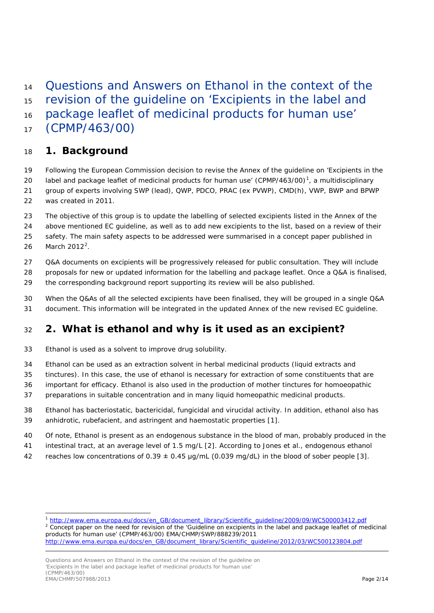Questions and Answers on Ethanol in the context of the

revision of the guideline on 'Excipients in the label and

package leaflet of medicinal products for human use'

(CPMP/463/00)

### **1. Background**

- Following the European Commission decision to revise the Annex of the guideline on 'Excipients in the
- 20 label and package leaflet of medicinal products for human use'  $(CPMP/463/00)^1$  $(CPMP/463/00)^1$ , a multidisciplinary group of experts involving SWP (lead), QWP, PDCO, PRAC (ex PVWP), CMD(h), VWP, BWP and BPWP
- was created in 2011.
- The objective of this group is to update the labelling of selected excipients listed in the Annex of the

above mentioned EC guideline, as well as to add new excipients to the list, based on a review of their

safety. The main safety aspects to be addressed were summarised in a concept paper published in

[2](#page-1-1)6 March  $2012^2$ .

ł

- Q&A documents on excipients will be progressively released for public consultation. They will include
- proposals for new or updated information for the labelling and package leaflet. Once a Q&A is finalised,
- the corresponding background report supporting its review will be also published.
- When the Q&As of all the selected excipients have been finalised, they will be grouped in a single Q&A document. This information will be integrated in the updated Annex of the new revised EC guideline.

# **2. What is ethanol and why is it used as an excipient?**

- Ethanol is used as a solvent to improve drug solubility.
- Ethanol can be used as an extraction solvent in herbal medicinal products (liquid extracts and
- tinctures). In this case, the use of ethanol is necessary for extraction of some constituents that are
- important for efficacy. Ethanol is also used in the production of mother tinctures for homoeopathic
- preparations in suitable concentration and in many liquid homeopathic medicinal products.
- Ethanol has bacteriostatic, bactericidal, fungicidal and virucidal activity. In addition, ethanol also has anhidrotic, rubefacient, and astringent and haemostatic properties [\[1\]](#page-10-0).
- Of note, Ethanol is present as an endogenous substance in the blood of man, probably produced in the
- intestinal tract, at an average level of 1.5 mg/L [\[2\]](#page-10-1). According to Jones et al., endogenous ethanol
- 42 reaches low concentrations of  $0.39 \pm 0.45$  µg/mL (0.039 mg/dL) in the blood of sober people [\[3\]](#page-10-2).

<span id="page-1-1"></span><span id="page-1-0"></span> Concept paper on the need for revision of the 'Guideline on excipients in the label and package leaflet of medicinal products for human use' (CPMP/463/00) EMA/CHMP/SWP/888239/2011

[http://www.ema.europa.eu/docs/en\\_GB/document\\_library/Scientific\\_guideline/2009/09/WC500003412.pdf](http://www.ema.europa.eu/docs/en_GB/document_library/Scientific_guideline/2009/09/WC500003412.pdf)

[http://www.ema.europa.eu/docs/en\\_GB/document\\_library/Scientific\\_guideline/2012/03/WC500123804.pdf](http://www.ema.europa.eu/docs/en_GB/document_library/Scientific_guideline/2012/03/WC500123804.pdf)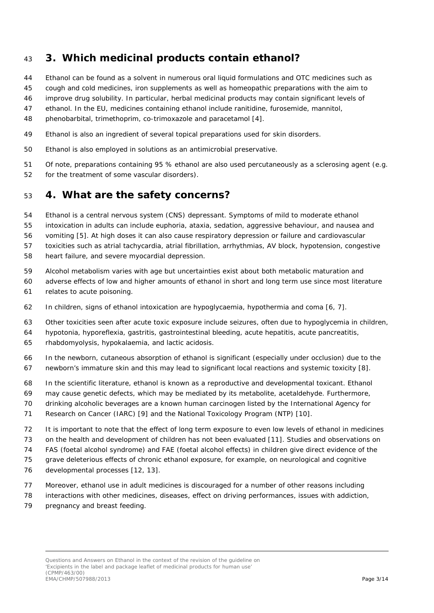### **3. Which medicinal products contain ethanol?**

- Ethanol can be found as a solvent in numerous oral liquid formulations and OTC medicines such as
- cough and cold medicines, iron supplements as well as homeopathic preparations with the aim to
- improve drug solubility. In particular, herbal medicinal products may contain significant levels of
- ethanol. In the EU, medicines containing ethanol include ranitidine, furosemide, mannitol,
- phenobarbital, trimethoprim, co-trimoxazole and paracetamol [\[4\]](#page-10-3).
- Ethanol is also an ingredient of several topical preparations used for skin disorders.
- Ethanol is also employed in solutions as an antimicrobial preservative.
- Of note, preparations containing 95 % ethanol are also used percutaneously as a sclerosing agent (e.g.
- for the treatment of some vascular disorders).

### **4. What are the safety concerns?**

- Ethanol is a central nervous system (CNS) depressant. Symptoms of mild to moderate ethanol
- intoxication in adults can include euphoria, ataxia, sedation, aggressive behaviour, and nausea and
- vomiting [\[5\]](#page-10-4). At high doses it can also cause respiratory depression or failure and cardiovascular

toxicities such as atrial tachycardia, atrial fibrillation, arrhythmias, AV block, hypotension, congestive

- heart failure, and severe myocardial depression.
- Alcohol metabolism varies with age but uncertainties exist about both metabolic maturation and
- adverse effects of low and higher amounts of ethanol in short and long term use since most literature
- relates to acute poisoning.
- In children, signs of ethanol intoxication are hypoglycaemia, hypothermia and coma [\[6,](#page-10-5) [7\]](#page-10-6).
- Other toxicities seen after acute toxic exposure include seizures, often due to hypoglycemia in children,
- hypotonia, hyporeflexia, gastritis, gastrointestinal bleeding, acute hepatitis, acute pancreatitis,
- rhabdomyolysis, hypokalaemia, and lactic acidosis.
- In the newborn, cutaneous absorption of ethanol is significant (especially under occlusion) due to the newborn's immature skin and this may lead to significant local reactions and systemic toxicity [\[8\]](#page-10-7).
- In the scientific literature, ethanol is known as a reproductive and developmental toxicant. Ethanol
- may cause genetic defects, which may be mediated by its metabolite, acetaldehyde. Furthermore,
- drinking alcoholic beverages are a known human carcinogen listed by the International Agency for
- Research on Cancer (IARC) [\[9\]](#page-10-8) and the National Toxicology Program (NTP) [\[10\]](#page-10-9).
- It is important to note that the effect of long term exposure to even low levels of ethanol in medicines
- on the health and development of children has not been evaluated [\[11\]](#page-10-10). Studies and observations on
- FAS (foetal alcohol syndrome) and FAE (foetal alcohol effects) in children give direct evidence of the
- grave deleterious effects of chronic ethanol exposure, for example, on neurological and cognitive
- developmental processes [\[12,](#page-10-11) [13\]](#page-10-12).
- Moreover, ethanol use in adult medicines is discouraged for a number of other reasons including
- interactions with other medicines, diseases, effect on driving performances, issues with addiction,
- 79 pregnancy and breast feeding.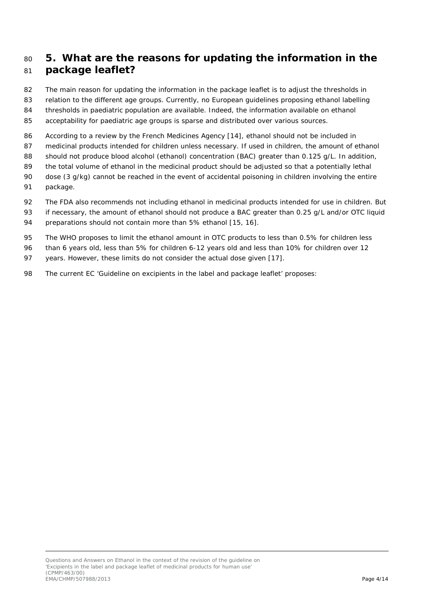### <sup>80</sup> **5. What are the reasons for updating the information in the**  <sup>81</sup> **package leaflet?**

- 82 The main reason for updating the information in the package leaflet is to adjust the thresholds in
- 83 relation to the different age groups. Currently, no European guidelines proposing ethanol labelling
- 84 thresholds in paediatric population are available. Indeed, the information available on ethanol
- 85 acceptability for paediatric age groups is sparse and distributed over various sources.
- 86 According to a review by the French Medicines Agency [\[14\]](#page-10-13), ethanol should not be included in
- 87 medicinal products intended for children unless necessary. If used in children, the amount of ethanol
- 88 should not produce blood alcohol (ethanol) concentration (BAC) greater than 0.125 g/L. In addition,
- 89 the total volume of ethanol in the medicinal product should be adjusted so that a potentially lethal
- 90 dose (3 g/kg) cannot be reached in the event of accidental poisoning in children involving the entire 91 package.
- 92 The FDA also recommends not including ethanol in medicinal products intended for use in children. But
- 93 if necessary, the amount of ethanol should not produce a BAC greater than 0.25 g/L and/or OTC liquid
- 94 preparations should not contain more than 5% ethanol [\[15,](#page-10-14) [16\]](#page-10-15).
- 95 The WHO proposes to limit the ethanol amount in OTC products to less than 0.5% for children less
- 96 than 6 years old, less than 5% for children 6-12 years old and less than 10% for children over 12
- 97 years. However, these limits do not consider the actual dose given [\[17\]](#page-11-0).
- 98 The current EC 'Guideline on excipients in the label and package leaflet' proposes: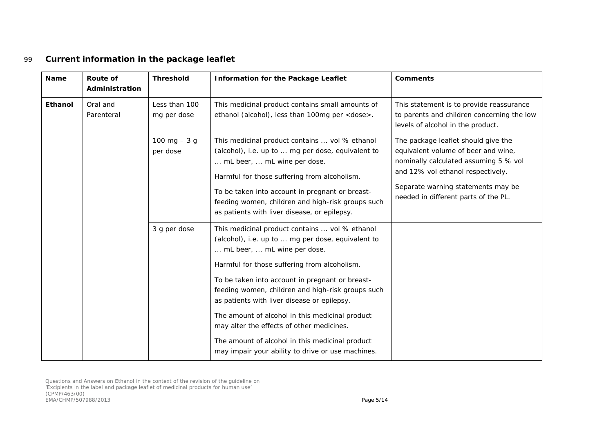### 99 *Current information in the package leaflet*

| <b>Name</b> | <b>Route of</b><br>Administration | <b>Threshold</b>             | <b>Information for the Package Leaflet</b>                                                                                                                                                                                                                                                                                                                                                                                                                                                                                                        | <b>Comments</b>                                                                                                                                                                                                                        |
|-------------|-----------------------------------|------------------------------|---------------------------------------------------------------------------------------------------------------------------------------------------------------------------------------------------------------------------------------------------------------------------------------------------------------------------------------------------------------------------------------------------------------------------------------------------------------------------------------------------------------------------------------------------|----------------------------------------------------------------------------------------------------------------------------------------------------------------------------------------------------------------------------------------|
| Ethanol     | Oral and<br>Parenteral            | Less than 100<br>mg per dose | This medicinal product contains small amounts of<br>ethanol (alcohol), less than 100mg per <dose>.</dose>                                                                                                                                                                                                                                                                                                                                                                                                                                         | This statement is to provide reassurance<br>to parents and children concerning the low<br>levels of alcohol in the product.                                                                                                            |
|             |                                   | 100 mg $-3$ g<br>per dose    | This medicinal product contains  vol % ethanol<br>(alcohol), i.e. up to  mg per dose, equivalent to<br>mL beer,  mL wine per dose.<br>Harmful for those suffering from alcoholism.<br>To be taken into account in pregnant or breast-<br>feeding women, children and high-risk groups such<br>as patients with liver disease, or epilepsy.                                                                                                                                                                                                        | The package leaflet should give the<br>equivalent volume of beer and wine,<br>nominally calculated assuming 5 % vol<br>and 12% vol ethanol respectively.<br>Separate warning statements may be<br>needed in different parts of the PL. |
|             |                                   | 3 g per dose                 | This medicinal product contains  vol % ethanol<br>(alcohol), i.e. up to  mg per dose, equivalent to<br>mL beer,  mL wine per dose.<br>Harmful for those suffering from alcoholism.<br>To be taken into account in pregnant or breast-<br>feeding women, children and high-risk groups such<br>as patients with liver disease or epilepsy.<br>The amount of alcohol in this medicinal product<br>may alter the effects of other medicines.<br>The amount of alcohol in this medicinal product<br>may impair your ability to drive or use machines. |                                                                                                                                                                                                                                        |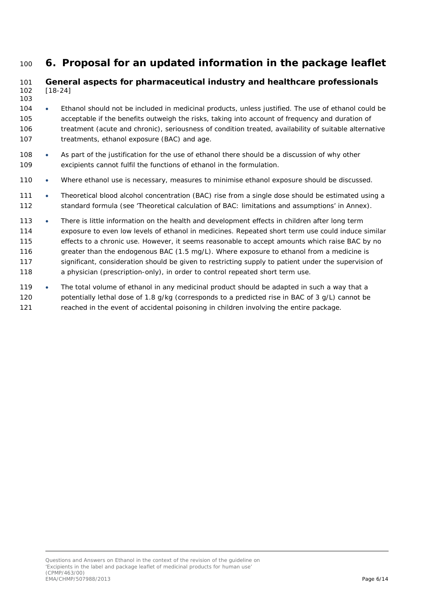## <sup>100</sup> **6. Proposal for an updated information in the package leaflet**

#### 101 *General aspects for pharmaceutical industry and healthcare professionals* 102 [\[18](#page-11-1)[-24\]](#page-11-2)

- 103
- 104 Ethanol should not be included in medicinal products, unless justified. The use of ethanol could be 105 acceptable if the benefits outweigh the risks, taking into account of frequency and duration of 106 treatment (acute and chronic), seriousness of condition treated, availability of suitable alternative 107 treatments, ethanol exposure (BAC) and age.
- 108 As part of the justification for the use of ethanol there should be a discussion of why other 109 excipients cannot fulfil the functions of ethanol in the formulation.
- 110 Where ethanol use is necessary, measures to minimise ethanol exposure should be discussed.
- 111 Theoretical blood alcohol concentration (BAC) rise from a single dose should be estimated using a 112 standard formula (see 'Theoretical calculation of BAC: limitations and assumptions' in Annex).
- 113 There is little information on the health and development effects in children after long term 114 exposure to even low levels of ethanol in medicines. Repeated short term use could induce similar 115 effects to a chronic use. However, it seems reasonable to accept amounts which raise BAC by no 116 greater than the endogenous BAC (1.5 mg/L). Where exposure to ethanol from a medicine is 117 significant, consideration should be given to restricting supply to patient under the supervision of 118 a physician (prescription-only), in order to control repeated short term use.
- 119 The total volume of ethanol in any medicinal product should be adapted in such a way that a 120 potentially lethal dose of 1.8 g/kg (corresponds to a predicted rise in BAC of 3 g/L) cannot be 121 reached in the event of accidental poisoning in children involving the entire package.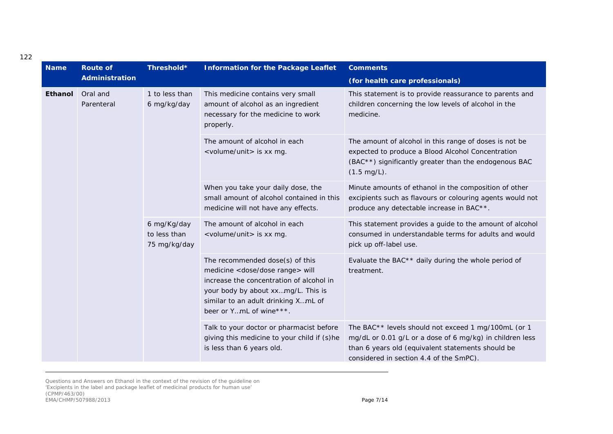| <b>Name</b>                       | <b>Route of</b>                             | Threshold*                                                                                                                 | <b>Information for the Package Leaflet</b>                                                                                                                                                                                              | <b>Comments</b>                                                                                                                                                                                                 |
|-----------------------------------|---------------------------------------------|----------------------------------------------------------------------------------------------------------------------------|-----------------------------------------------------------------------------------------------------------------------------------------------------------------------------------------------------------------------------------------|-----------------------------------------------------------------------------------------------------------------------------------------------------------------------------------------------------------------|
|                                   | <b>Administration</b>                       |                                                                                                                            |                                                                                                                                                                                                                                         | (for health care professionals)                                                                                                                                                                                 |
| Oral and<br>Ethanol<br>Parenteral | 1 to less than<br>6 mg/kg/day               | This medicine contains very small<br>amount of alcohol as an ingredient<br>necessary for the medicine to work<br>properly. | This statement is to provide reassurance to parents and<br>children concerning the low levels of alcohol in the<br>medicine.                                                                                                            |                                                                                                                                                                                                                 |
|                                   |                                             | The amount of alcohol in each<br><volume unit=""> is xx mg.</volume>                                                       | The amount of alcohol in this range of doses is not be<br>expected to produce a Blood Alcohol Concentration<br>(BAC**) significantly greater than the endogenous BAC<br>$(1.5 \text{ mg/L}).$                                           |                                                                                                                                                                                                                 |
|                                   |                                             | When you take your daily dose, the<br>small amount of alcohol contained in this<br>medicine will not have any effects.     | Minute amounts of ethanol in the composition of other<br>excipients such as flavours or colouring agents would not<br>produce any detectable increase in BAC**.                                                                         |                                                                                                                                                                                                                 |
|                                   | 6 mg/Kg/day<br>to less than<br>75 mg/kg/day | The amount of alcohol in each<br><volume unit=""> is xx mg.</volume>                                                       | This statement provides a guide to the amount of alcohol<br>consumed in understandable terms for adults and would<br>pick up off-label use.                                                                                             |                                                                                                                                                                                                                 |
|                                   |                                             |                                                                                                                            | The recommended dose(s) of this<br>medicine <dose dose="" range=""> will<br/>increase the concentration of alcohol in<br/>your body by about xxmg/L. This is<br/>similar to an adult drinking XmL of<br/>beer or YmL of wine***.</dose> | Evaluate the BAC <sup>**</sup> daily during the whole period of<br>treatment.                                                                                                                                   |
|                                   |                                             |                                                                                                                            | Talk to your doctor or pharmacist before<br>giving this medicine to your child if (s)he<br>is less than 6 years old.                                                                                                                    | The BAC** levels should not exceed 1 mg/100mL (or 1<br>mg/dL or 0.01 g/L or a dose of 6 mg/kg) in children less<br>than 6 years old (equivalent statements should be<br>considered in section 4.4 of the SmPC). |

Questions and Answers on Ethanol in the context of the revision of the guideline on 'Excipients in the label and package leaflet of medicinal products for human use' (CPMP/463/00) EMA/CHMP/507988/2013 Page 7/14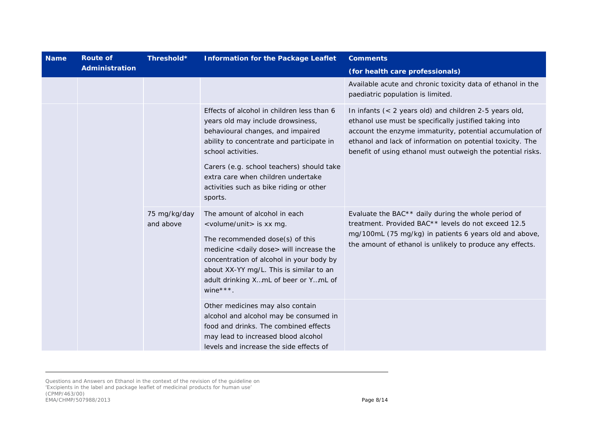| <b>Name</b> | <b>Route of</b><br>Threshold* |                           | <b>Information for the Package Leaflet</b>                                                                                                                                                                                                                                                                                       | <b>Comments</b>                                                                                                                                                                                                                                                                                             |  |
|-------------|-------------------------------|---------------------------|----------------------------------------------------------------------------------------------------------------------------------------------------------------------------------------------------------------------------------------------------------------------------------------------------------------------------------|-------------------------------------------------------------------------------------------------------------------------------------------------------------------------------------------------------------------------------------------------------------------------------------------------------------|--|
|             | Administration                |                           |                                                                                                                                                                                                                                                                                                                                  | (for health care professionals)                                                                                                                                                                                                                                                                             |  |
|             |                               |                           |                                                                                                                                                                                                                                                                                                                                  | Available acute and chronic toxicity data of ethanol in the<br>paediatric population is limited.                                                                                                                                                                                                            |  |
|             |                               |                           | Effects of alcohol in children less than 6<br>years old may include drowsiness,<br>behavioural changes, and impaired<br>ability to concentrate and participate in<br>school activities.<br>Carers (e.g. school teachers) should take<br>extra care when children undertake<br>activities such as bike riding or other<br>sports. | In infants $(< 2$ years old) and children 2-5 years old,<br>ethanol use must be specifically justified taking into<br>account the enzyme immaturity, potential accumulation of<br>ethanol and lack of information on potential toxicity. The<br>benefit of using ethanol must outweigh the potential risks. |  |
|             |                               | 75 mg/kg/day<br>and above | The amount of alcohol in each<br><volume unit=""> is xx mg.<br/>The recommended dose(s) of this<br/>medicine <daily dose=""> will increase the<br/>concentration of alcohol in your body by<br/>about XX-YY mg/L. This is similar to an<br/>adult drinking XmL of beer or YmL of<br/>wine***.</daily></volume>                   | Evaluate the BAC <sup>**</sup> daily during the whole period of<br>treatment. Provided BAC** levels do not exceed 12.5<br>mg/100mL (75 mg/kg) in patients 6 years old and above,<br>the amount of ethanol is unlikely to produce any effects.                                                               |  |
|             |                               |                           | Other medicines may also contain<br>alcohol and alcohol may be consumed in<br>food and drinks. The combined effects<br>may lead to increased blood alcohol<br>levels and increase the side effects of                                                                                                                            |                                                                                                                                                                                                                                                                                                             |  |

Questions and Answers on Ethanol in the context of the revision of the guideline on 'Excipients in the label and package leaflet of medicinal products for human use' (CPMP/463/00) EMA/CHMP/507988/2013 Page 8/14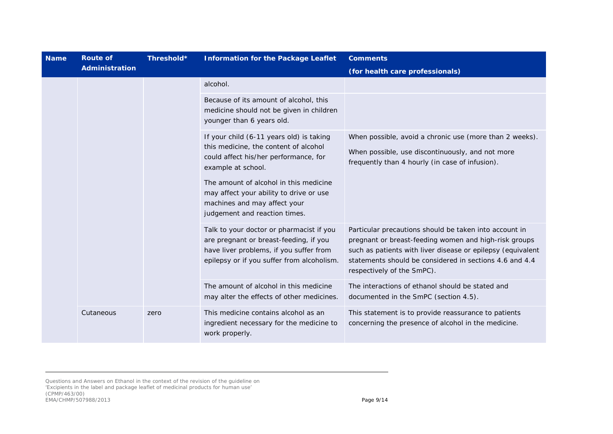| <b>Name</b>       | <b>Route of</b>       | Threshold*                                                                                                                                                                  | <b>Information for the Package Leaflet</b>                                                                                                                                                                                                                              | <b>Comments</b>                                                                                                                                                |
|-------------------|-----------------------|-----------------------------------------------------------------------------------------------------------------------------------------------------------------------------|-------------------------------------------------------------------------------------------------------------------------------------------------------------------------------------------------------------------------------------------------------------------------|----------------------------------------------------------------------------------------------------------------------------------------------------------------|
|                   | <b>Administration</b> |                                                                                                                                                                             |                                                                                                                                                                                                                                                                         | (for health care professionals)                                                                                                                                |
|                   |                       |                                                                                                                                                                             | alcohol.                                                                                                                                                                                                                                                                |                                                                                                                                                                |
|                   |                       |                                                                                                                                                                             | Because of its amount of alcohol, this<br>medicine should not be given in children<br>younger than 6 years old.                                                                                                                                                         |                                                                                                                                                                |
|                   |                       |                                                                                                                                                                             | If your child (6-11 years old) is taking<br>this medicine, the content of alcohol<br>could affect his/her performance, for<br>example at school.                                                                                                                        | When possible, avoid a chronic use (more than 2 weeks).<br>When possible, use discontinuously, and not more<br>frequently than 4 hourly (in case of infusion). |
|                   |                       |                                                                                                                                                                             | The amount of alcohol in this medicine<br>may affect your ability to drive or use<br>machines and may affect your<br>judgement and reaction times.                                                                                                                      |                                                                                                                                                                |
|                   |                       | Talk to your doctor or pharmacist if you<br>are pregnant or breast-feeding, if you<br>have liver problems, if you suffer from<br>epilepsy or if you suffer from alcoholism. | Particular precautions should be taken into account in<br>pregnant or breast-feeding women and high-risk groups<br>such as patients with liver disease or epilepsy (equivalent<br>statements should be considered in sections 4.6 and 4.4<br>respectively of the SmPC). |                                                                                                                                                                |
|                   |                       |                                                                                                                                                                             | The amount of alcohol in this medicine<br>may alter the effects of other medicines.                                                                                                                                                                                     | The interactions of ethanol should be stated and<br>documented in the SmPC (section 4.5).                                                                      |
| Cutaneous<br>zero |                       |                                                                                                                                                                             | This medicine contains alcohol as an<br>ingredient necessary for the medicine to<br>work properly.                                                                                                                                                                      | This statement is to provide reassurance to patients<br>concerning the presence of alcohol in the medicine.                                                    |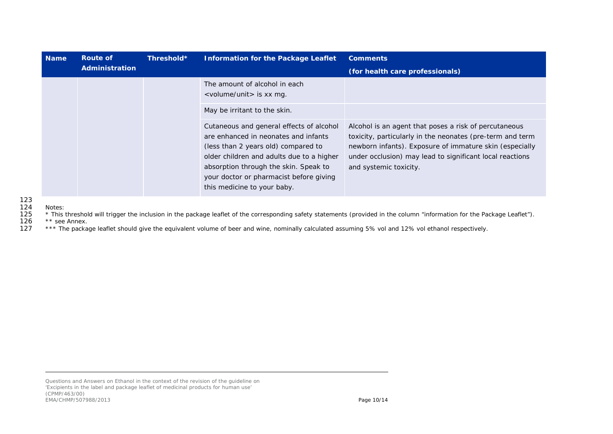| <b>Name</b> | Route of              | Threshold* | <b>Information for the Package Leaflet</b>                                                                                                                                                                                                                                              | <b>Comments</b>                                                                                                                                                                                                                                                     |
|-------------|-----------------------|------------|-----------------------------------------------------------------------------------------------------------------------------------------------------------------------------------------------------------------------------------------------------------------------------------------|---------------------------------------------------------------------------------------------------------------------------------------------------------------------------------------------------------------------------------------------------------------------|
|             | <b>Administration</b> |            |                                                                                                                                                                                                                                                                                         | (for health care professionals)                                                                                                                                                                                                                                     |
|             |                       |            | The amount of alcohol in each<br><volume unit=""> is xx mg.</volume>                                                                                                                                                                                                                    |                                                                                                                                                                                                                                                                     |
|             |                       |            | May be irritant to the skin.                                                                                                                                                                                                                                                            |                                                                                                                                                                                                                                                                     |
|             |                       |            | Cutaneous and general effects of alcohol<br>are enhanced in neonates and infants<br>(less than 2 years old) compared to<br>older children and adults due to a higher<br>absorption through the skin. Speak to<br>your doctor or pharmacist before giving<br>this medicine to your baby. | Alcohol is an agent that poses a risk of percutaneous<br>toxicity, particularly in the neonates (pre-term and term<br>newborn infants). Exposure of immature skin (especially<br>under occlusion) may lead to significant local reactions<br>and systemic toxicity. |

124 Notes:<br>125 \* This 125 \* This threshold will trigger the inclusion in the package leaflet of the corresponding safety statements (provided in the column "information for the Package Leaflet").<br>126 \*\* see Annex.

126  $**$  see Annex.<br>127  $***$  The packa

\*\*\* The package leaflet should give the equivalent volume of beer and wine, nominally calculated assuming 5% vol and 12% vol ethanol respectively.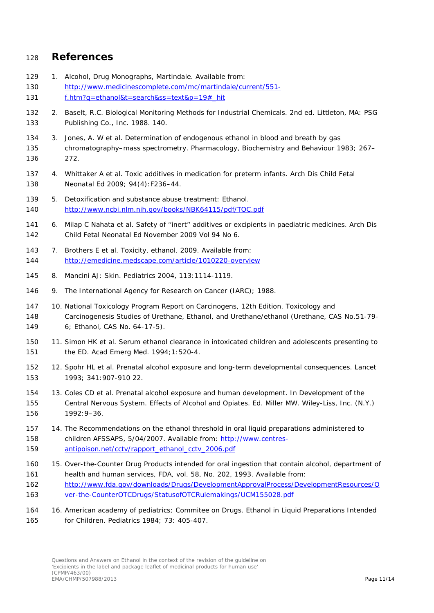#### **References**

- <span id="page-10-0"></span>129 1. Alcohol, Drug Monographs, Martindale. Available from: [http://www.medicinescomplete.com/mc/martindale/current/551-](http://www.medicinescomplete.com/mc/martindale/current/551-f.htm?q=ethanol&t=search&ss=text&p=19%23_hit) [f.htm?q=ethanol&t=search&ss=text&p=19#\\_hit](http://www.medicinescomplete.com/mc/martindale/current/551-f.htm?q=ethanol&t=search&ss=text&p=19%23_hit)
- <span id="page-10-1"></span> 2. Baselt, R.C. Biological Monitoring Methods for Industrial Chemicals. 2nd ed. Littleton, MA: PSG Publishing Co., Inc. 1988. 140.
- <span id="page-10-2"></span> 3. Jones, A. W et al. Determination of endogenous ethanol in blood and breath by gas chromatography–mass spectrometry. Pharmacology, Biochemistry and Behaviour 1983; 267– 272.
- <span id="page-10-3"></span> 4. Whittaker A et al. Toxic additives in medication for preterm infants. Arch Dis Child Fetal Neonatal Ed 2009; 94(4):F236–44.
- <span id="page-10-4"></span> 5. Detoxification and substance abuse treatment: Ethanol. <http://www.ncbi.nlm.nih.gov/books/NBK64115/pdf/TOC.pdf>
- <span id="page-10-5"></span> 6. Milap C Nahata et al. Safety of ''inert'' additives or excipients in paediatric medicines. Arch Dis Child Fetal Neonatal Ed November 2009 Vol 94 No 6.
- <span id="page-10-6"></span> 7. Brothers E et al. Toxicity, ethanol. 2009. Available from: <http://emedicine.medscape.com/article/1010220-overview>
- <span id="page-10-7"></span>8. Mancini AJ: Skin. Pediatrics 2004, 113:1114-1119.
- <span id="page-10-8"></span>9. The International Agency for Research on Cancer (IARC); 1988.
- <span id="page-10-9"></span> 10. National Toxicology Program Report on Carcinogens, 12th Edition. Toxicology and Carcinogenesis Studies of Urethane, Ethanol, and Urethane/ethanol (Urethane, CAS No.51-79- 6; Ethanol, CAS No. 64-17-5).
- <span id="page-10-10"></span> 11. Simon HK et al. Serum ethanol clearance in intoxicated children and adolescents presenting to the ED. Acad Emerg Med. 1994;1:520-4.
- <span id="page-10-11"></span> 12. Spohr HL et al. Prenatal alcohol exposure and long-term developmental consequences. Lancet 1993; 341:907-910 22.
- <span id="page-10-12"></span> 13. Coles CD et al. Prenatal alcohol exposure and human development. In Development of the Central Nervous System. Effects of Alcohol and Opiates. Ed. Miller MW. Wiley-Liss, Inc. (N.Y.) 1992:9–36.
- <span id="page-10-13"></span> 14. The Recommendations on the ethanol threshold in oral liquid preparations administered to children AFSSAPS, 5/04/2007. Available from: [http://www.centres-](http://www.centres-antipoison.net/cctv/rapport_ethanol_cctv_2006.pdf)[antipoison.net/cctv/rapport\\_ethanol\\_cctv\\_2006.pdf](http://www.centres-antipoison.net/cctv/rapport_ethanol_cctv_2006.pdf)
- <span id="page-10-14"></span> 15. Over-the-Counter Drug Products intended for oral ingestion that contain alcohol, department of health and human services, FDA, vol. 58, No. 202, 1993. Available from: [http://www.fda.gov/downloads/Drugs/DevelopmentApprovalProcess/DevelopmentResources/O](http://www.fda.gov/downloads/Drugs/DevelopmentApprovalProcess/DevelopmentResources/Over-the-CounterOTCDrugs/StatusofOTCRulemakings/UCM155028.pdf) [ver-the-CounterOTCDrugs/StatusofOTCRulemakings/UCM155028.pdf](http://www.fda.gov/downloads/Drugs/DevelopmentApprovalProcess/DevelopmentResources/Over-the-CounterOTCDrugs/StatusofOTCRulemakings/UCM155028.pdf)
- <span id="page-10-15"></span> 16. American academy of pediatrics; Commitee on Drugs. Ethanol in Liquid Preparations Intended for Children. Pediatrics 1984; 73: 405-407.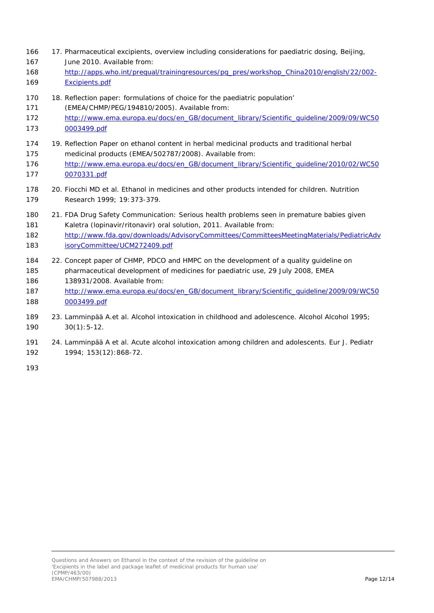- <span id="page-11-0"></span> 17. Pharmaceutical excipients, overview including considerations for paediatric dosing, Beijing, June 2010. Available from:
- [http://apps.who.int/prequal/trainingresources/pq\\_pres/workshop\\_China2010/english/22/002-](http://apps.who.int/prequal/trainingresources/pq_pres/workshop_China2010/english/22/002-Excipients.pdf) [Excipients.pdf](http://apps.who.int/prequal/trainingresources/pq_pres/workshop_China2010/english/22/002-Excipients.pdf)
- <span id="page-11-1"></span>18. Reflection paper: formulations of choice for the paediatric population'
- (EMEA/CHMP/PEG/194810/2005). Available from:
- [http://www.ema.europa.eu/docs/en\\_GB/document\\_library/Scientific\\_guideline/2009/09/WC50](http://www.ema.europa.eu/docs/en_GB/document_library/Scientific_guideline/2009/09/WC500003499.pdf) [0003499.pdf](http://www.ema.europa.eu/docs/en_GB/document_library/Scientific_guideline/2009/09/WC500003499.pdf)
- 19. Reflection Paper on ethanol content in herbal medicinal products and traditional herbal medicinal products (EMEA/502787/2008). Available from:
- [http://www.ema.europa.eu/docs/en\\_GB/document\\_library/Scientific\\_guideline/2010/02/WC50](http://www.ema.europa.eu/docs/en_GB/document_library/Scientific_guideline/2010/02/WC500070331.pdf) [0070331.pdf](http://www.ema.europa.eu/docs/en_GB/document_library/Scientific_guideline/2010/02/WC500070331.pdf)
- 20. Fiocchi MD et al. Ethanol in medicines and other products intended for children. Nutrition Research 1999; 19:373-379.
- 21. FDA Drug Safety Communication: Serious health problems seen in premature babies given Kaletra (lopinavir/ritonavir) oral solution, 2011. Available from:
- [http://www.fda.gov/downloads/AdvisoryCommittees/CommitteesMeetingMaterials/PediatricAdv](http://www.fda.gov/downloads/AdvisoryCommittees/CommitteesMeetingMaterials/PediatricAdvisoryCommittee/UCM272409.pdf) [isoryCommittee/UCM272409.pdf](http://www.fda.gov/downloads/AdvisoryCommittees/CommitteesMeetingMaterials/PediatricAdvisoryCommittee/UCM272409.pdf)
- 22. Concept paper of CHMP, PDCO and HMPC on the development of a quality guideline on pharmaceutical development of medicines for paediatric use, 29 July 2008, EMEA 138931/2008. Available from:
- [http://www.ema.europa.eu/docs/en\\_GB/document\\_library/Scientific\\_guideline/2009/09/WC50](http://www.ema.europa.eu/docs/en_GB/document_library/Scientific_guideline/2009/09/WC500003499.pdf) [0003499.pdf](http://www.ema.europa.eu/docs/en_GB/document_library/Scientific_guideline/2009/09/WC500003499.pdf)
- 23. Lamminpää A.et al. Alcohol intoxication in childhood and adolescence. Alcohol Alcohol 1995; 30(1):5-12.
- <span id="page-11-2"></span> 24. Lamminpää A et al. Acute alcohol intoxication among children and adolescents. Eur J. Pediatr 1994; 153(12):868-72.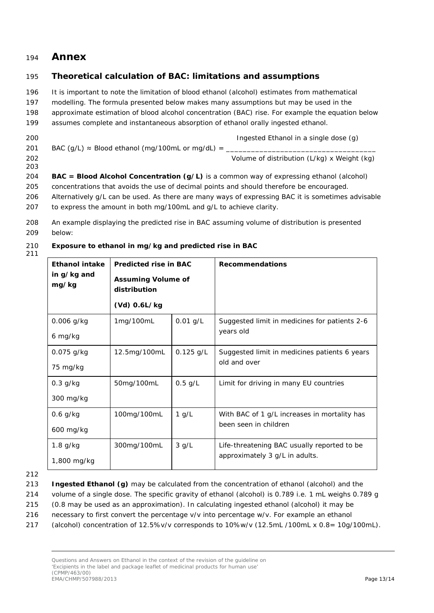### <sup>194</sup> **Annex**

#### 195 *Theoretical calculation of BAC: limitations and assumptions*

- 196 It is important to note the limitation of blood ethanol (alcohol) estimates from mathematical
- 197 modelling. The formula presented below makes many assumptions but may be used in the
- 198 approximate estimation of blood alcohol concentration (BAC) rise. For example the equation below
- 199 assumes complete and instantaneous absorption of ethanol orally ingested ethanol.
- 200 Ingested Ethanol in a single dose (g) 201 BAC (g/L)  $\approx$  Blood ethanol (mg/100mL or mg/dL) = 202 Volume of distribution (L/kg) x Weight (kg) 203
- 204 **BAC = Blood Alcohol Concentration (g/L)** is a common way of expressing ethanol (alcohol) 205 concentrations that avoids the use of decimal points and should therefore be encouraged. 206 Alternatively g/L can be used. As there are many ways of expressing BAC it is sometimes advisable 207 to express the amount in both mg/100mL and g/L to achieve clarity.
- 208 An example displaying the predicted rise in BAC assuming volume of distribution is presented 209 below:

#### 210 **Exposure to ethanol in mg/kg and predicted rise in BAC**

211

| <b>Ethanol intake</b><br>in g/kg and<br>mg/kg | <b>Predicted rise in BAC</b><br><b>Assuming Volume of</b><br>distribution<br>$(Vd)$ 0.6L/kg |             | <b>Recommendations</b>                                                        |
|-----------------------------------------------|---------------------------------------------------------------------------------------------|-------------|-------------------------------------------------------------------------------|
| 0.006 g/kg<br>6 mg/kg                         | 1mg/100mL                                                                                   | $0.01$ g/L  | Suggested limit in medicines for patients 2-6<br>years old                    |
| $0.075$ g/kg<br>75 mg/kg                      | 12.5mg/100mL                                                                                | $0.125$ g/L | Suggested limit in medicines patients 6 years<br>old and over                 |
| $0.3$ g/kg<br>300 mg/kg                       | 50mg/100mL                                                                                  | $0.5$ g/L   | Limit for driving in many EU countries                                        |
| $0.6$ g/kg<br>600 mg/kg                       | 100mg/100mL                                                                                 | $1$ g/L     | With BAC of 1 g/L increases in mortality has<br>been seen in children         |
| $1.8$ g/kg<br>1,800 mg/kg                     | 300mg/100mL                                                                                 | $3$ g/L     | Life-threatening BAC usually reported to be<br>approximately 3 g/L in adults. |

212

- 213 **Ingested Ethanol (g)** may be calculated from the concentration of ethanol (alcohol) and the
- 214 volume of a single dose. The specific gravity of ethanol (alcohol) is 0.789 i.e. 1 mL weighs 0.789 g
- 215 (0.8 may be used as an approximation). In calculating ingested ethanol (alcohol) it may be
- 216 necessary to first convert the percentage v/v into percentage w/v. For example an ethanol
- 217 (alcohol) concentration of 12.5%v/v corresponds to 10%w/v (12.5mL /100mL x 0.8= 10g/100mL).